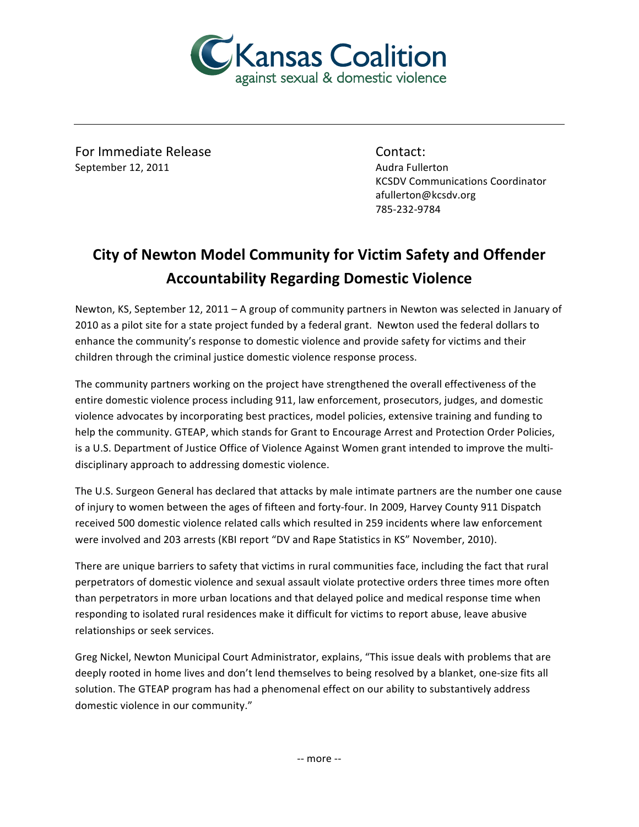

For Immediate Release Contact: September 12, 2011 **Audra Fullerton** Audra Fullerton

**KCSDV Communications Coordinator** afullerton@kcsdv.org 785-232-9784

## **City of Newton Model Community for Victim Safety and Offender Accountability%Regarding%Domestic%Violence**

Newton, KS, September 12, 2011 – A group of community partners in Newton was selected in January of 2010 as a pilot site for a state project funded by a federal grant. Newton used the federal dollars to enhance the community's response to domestic violence and provide safety for victims and their children through the criminal justice domestic violence response process.

The community partners working on the project have strengthened the overall effectiveness of the entire domestic violence process including 911, law enforcement, prosecutors, judges, and domestic violence advocates by incorporating best practices, model policies, extensive training and funding to help the community. GTEAP, which stands for Grant to Encourage Arrest and Protection Order Policies, is a U.S. Department of Justice Office of Violence Against Women grant intended to improve the multidisciplinary approach to addressing domestic violence.

The U.S. Surgeon General has declared that attacks by male intimate partners are the number one cause of injury to women between the ages of fifteen and forty-four. In 2009, Harvey County 911 Dispatch received 500 domestic violence related calls which resulted in 259 incidents where law enforcement were involved and 203 arrests (KBI report "DV and Rape Statistics in KS" November, 2010).

There are unique barriers to safety that victims in rural communities face, including the fact that rural perpetrators of domestic violence and sexual assault violate protective orders three times more often than perpetrators in more urban locations and that delayed police and medical response time when responding to isolated rural residences make it difficult for victims to report abuse, leave abusive relationships or seek services.

Greg Nickel, Newton Municipal Court Administrator, explains, "This issue deals with problems that are deeply rooted in home lives and don't lend themselves to being resolved by a blanket, one-size fits all solution. The GTEAP program has had a phenomenal effect on our ability to substantively address domestic violence in our community."